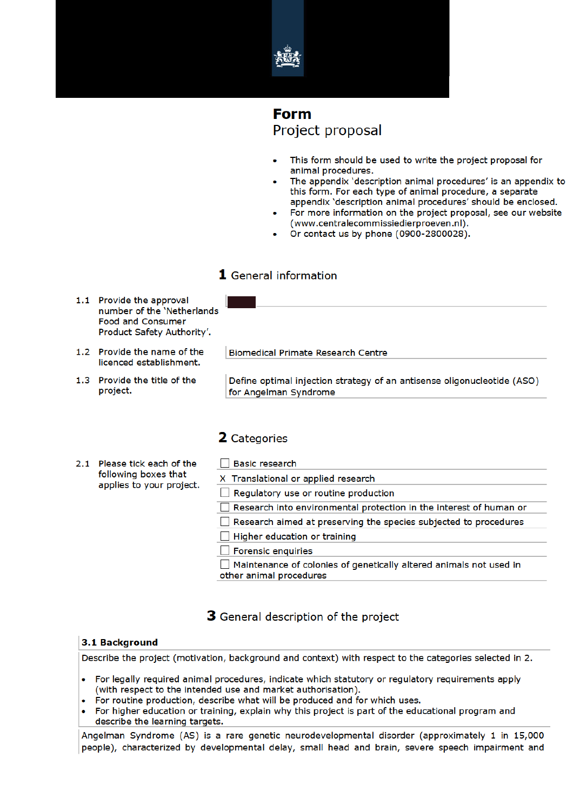

# **Form** Project proposal

- This form should be used to write the project proposal for animal procedures.
- The appendix 'description animal procedures' is an appendix to this form. For each type of animal procedure, a separate appendix 'description animal procedures' should be enclosed.
- For more information on the project proposal, see our website (www.centralecommissiedierproeven.nl).
- Or contact us by phone (0900-2800028).

### 1 General information

- 1.1 Provide the approval number of the 'Netherlands **Food and Consumer** Product Safety Authority'.
- 1.2 Provide the name of the licenced establishment.
- 1.3 Provide the title of the project.

**Biomedical Primate Research Centre** 

Define optimal injection strategy of an antisense oligonucleotide (ASO) for Angelman Syndrome

### 2 Categories

- 2.1 Please tick each of the following boxes that applies to your project.
- □ Basic research X Translational or applied research Requiatory use or routine production Research into environmental protection in the interest of human or Research aimed at preserving the species subjected to procedures  $\Box$  Higher education or training Forensic enquiries Maintenance of colonies of genetically altered animals not used in other animal procedures

### 3 General description of the project

### 3.1 Background

Describe the project (motivation, background and context) with respect to the categories selected in 2.

- For legally required animal procedures, indicate which statutory or regulatory requirements apply (with respect to the intended use and market authorisation).
- For routine production, describe what will be produced and for which uses.
- For higher education or training, explain why this project is part of the educational program and describe the learning targets.

Angelman Syndrome (AS) is a rare genetic neurodevelopmental disorder (approximately 1 in 15,000 people), characterized by developmental delay, small head and brain, severe speech impairment and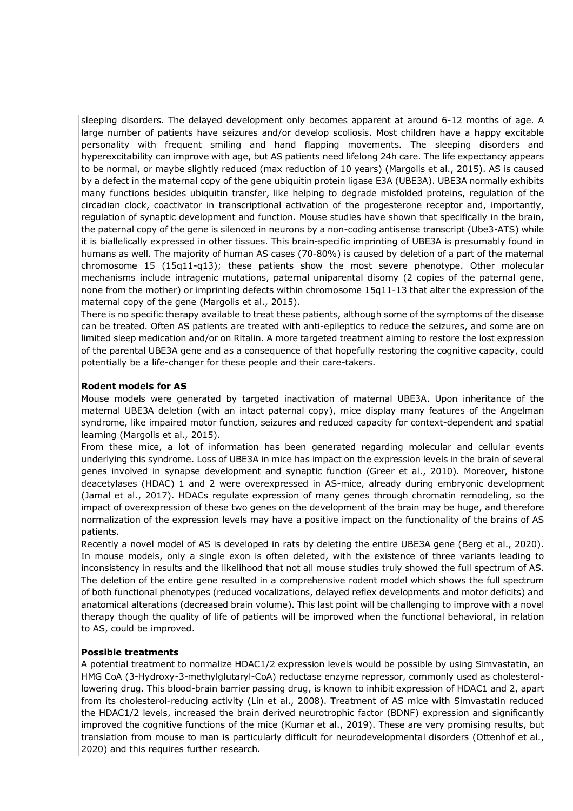sleeping disorders. The delayed development only becomes apparent at around 6-12 months of age. A large number of patients have seizures and/or develop scoliosis. Most children have a happy excitable personality with frequent smiling and hand flapping movements. The sleeping disorders and hyperexcitability can improve with age, but AS patients need lifelong 24h care. The life expectancy appears to be normal, or maybe slightly reduced (max reduction of 10 years) (Margolis et al., 2015). AS is caused by a defect in the maternal copy of the gene ubiquitin protein ligase E3A (UBE3A). UBE3A normally exhibits many functions besides ubiquitin transfer, like helping to degrade misfolded proteins, regulation of the circadian clock, coactivator in transcriptional activation of the progesterone receptor and, importantly, regulation of synaptic development and function. Mouse studies have shown that specifically in the brain, the paternal copy of the gene is silenced in neurons by a non-coding antisense transcript (Ube3-ATS) while it is biallelically expressed in other tissues. This brain-specific imprinting of UBE3A is presumably found in humans as well. The majority of human AS cases (70-80%) is caused by deletion of a part of the maternal chromosome 15 (15q11-q13); these patients show the most severe phenotype. Other molecular mechanisms include intragenic mutations, paternal uniparental disomy (2 copies of the paternal gene, none from the mother) or imprinting defects within chromosome 15q11-13 that alter the expression of the maternal copy of the gene (Margolis et al., 2015).

There is no specific therapy available to treat these patients, although some of the symptoms of the disease can be treated. Often AS patients are treated with anti-epileptics to reduce the seizures, and some are on limited sleep medication and/or on Ritalin. A more targeted treatment aiming to restore the lost expression of the parental UBE3A gene and as a consequence of that hopefully restoring the cognitive capacity, could potentially be a life-changer for these people and their care-takers.

#### **Rodent models for AS**

Mouse models were generated by targeted inactivation of maternal UBE3A. Upon inheritance of the maternal UBE3A deletion (with an intact paternal copy), mice display many features of the Angelman syndrome, like impaired motor function, seizures and reduced capacity for context-dependent and spatial learning (Margolis et al., 2015).

From these mice, a lot of information has been generated regarding molecular and cellular events underlying this syndrome. Loss of UBE3A in mice has impact on the expression levels in the brain of several genes involved in synapse development and synaptic function (Greer et al., 2010). Moreover, histone deacetylases (HDAC) 1 and 2 were overexpressed in AS-mice, already during embryonic development (Jamal et al., 2017). HDACs regulate expression of many genes through chromatin remodeling, so the impact of overexpression of these two genes on the development of the brain may be huge, and therefore normalization of the expression levels may have a positive impact on the functionality of the brains of AS patients.

Recently a novel model of AS is developed in rats by deleting the entire UBE3A gene (Berg et al., 2020). In mouse models, only a single exon is often deleted, with the existence of three variants leading to inconsistency in results and the likelihood that not all mouse studies truly showed the full spectrum of AS. The deletion of the entire gene resulted in a comprehensive rodent model which shows the full spectrum of both functional phenotypes (reduced vocalizations, delayed reflex developments and motor deficits) and anatomical alterations (decreased brain volume). This last point will be challenging to improve with a novel therapy though the quality of life of patients will be improved when the functional behavioral, in relation to AS, could be improved.

### **Possible treatments**

A potential treatment to normalize HDAC1/2 expression levels would be possible by using Simvastatin, an HMG CoA (3-Hydroxy-3-methylglutaryl-CoA) reductase enzyme repressor, commonly used as cholesterollowering drug. This blood-brain barrier passing drug, is known to inhibit expression of HDAC1 and 2, apart from its cholesterol-reducing activity (Lin et al., 2008). Treatment of AS mice with Simvastatin reduced the HDAC1/2 levels, increased the brain derived neurotrophic factor (BDNF) expression and significantly improved the cognitive functions of the mice (Kumar et al., 2019). These are very promising results, but translation from mouse to man is particularly difficult for neurodevelopmental disorders (Ottenhof et al., 2020) and this requires further research.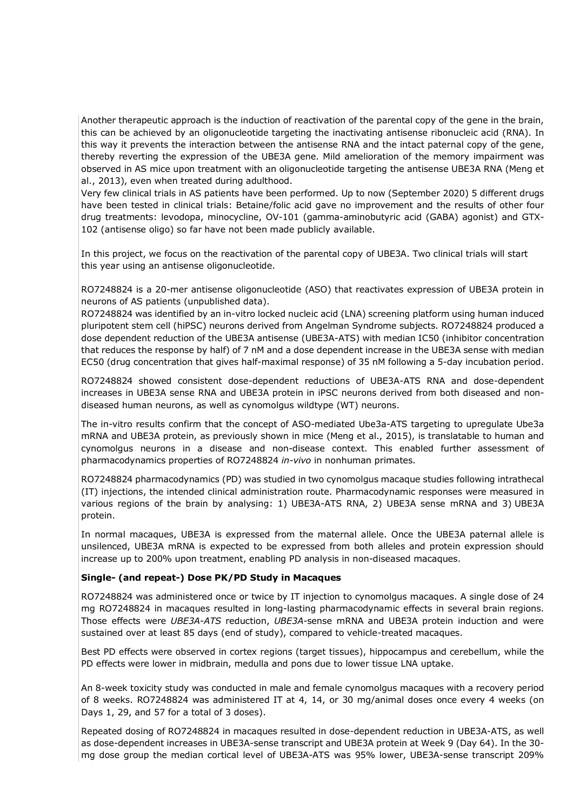Another therapeutic approach is the induction of reactivation of the parental copy of the gene in the brain, this can be achieved by an oligonucleotide targeting the inactivating antisense ribonucleic acid (RNA). In this way it prevents the interaction between the antisense RNA and the intact paternal copy of the gene, thereby reverting the expression of the UBE3A gene. Mild amelioration of the memory impairment was observed in AS mice upon treatment with an oligonucleotide targeting the antisense UBE3A RNA (Meng et al., 2013), even when treated during adulthood.

Very few clinical trials in AS patients have been performed. Up to now (September 2020) 5 different drugs have been tested in clinical trials: Betaine/folic acid gave no improvement and the results of other four drug treatments: levodopa, minocycline, OV-101 (gamma-aminobutyric acid (GABA) agonist) and GTX-102 (antisense oligo) so far have not been made publicly available.

In this project, we focus on the reactivation of the parental copy of UBE3A. Two clinical trials will start this year using an antisense oligonucleotide.

RO7248824 is a 20-mer antisense oligonucleotide (ASO) that reactivates expression of UBE3A protein in neurons of AS patients (unpublished data).

RO7248824 was identified by an in-vitro locked nucleic acid (LNA) screening platform using human induced pluripotent stem cell (hiPSC) neurons derived from Angelman Syndrome subjects. RO7248824 produced a dose dependent reduction of the UBE3A antisense (UBE3A-ATS) with median IC50 (inhibitor concentration that reduces the response by half) of 7 nM and a dose dependent increase in the UBE3A sense with median EC50 (drug concentration that gives half-maximal response) of 35 nM following a 5-day incubation period.

RO7248824 showed consistent dose-dependent reductions of UBE3A-ATS RNA and dose-dependent increases in UBE3A sense RNA and UBE3A protein in iPSC neurons derived from both diseased and nondiseased human neurons, as well as cynomolgus wildtype (WT) neurons.

The in-vitro results confirm that the concept of ASO-mediated Ube3a-ATS targeting to upregulate Ube3a mRNA and UBE3A protein, as previously shown in mice (Meng et al., 2015), is translatable to human and cynomolgus neurons in a disease and non-disease context. This enabled further assessment of pharmacodynamics properties of RO7248824 *in-vivo* in nonhuman primates.

RO7248824 pharmacodynamics (PD) was studied in two cynomolgus macaque studies following intrathecal (IT) injections, the intended clinical administration route. Pharmacodynamic responses were measured in various regions of the brain by analysing: 1) UBE3A-ATS RNA, 2) UBE3A sense mRNA and 3) UBE3A protein.

In normal macaques, UBE3A is expressed from the maternal allele. Once the UBE3A paternal allele is unsilenced, UBE3A mRNA is expected to be expressed from both alleles and protein expression should increase up to 200% upon treatment, enabling PD analysis in non-diseased macaques.

#### **Single- (and repeat-) Dose PK/PD Study in Macaques**

RO7248824 was administered once or twice by IT injection to cynomolgus macaques. A single dose of 24 mg RO7248824 in macaques resulted in long-lasting pharmacodynamic effects in several brain regions. Those effects were *UBE3A-ATS* reduction, *UBE3A*-sense mRNA and UBE3A protein induction and were sustained over at least 85 days (end of study), compared to vehicle-treated macaques.

Best PD effects were observed in cortex regions (target tissues), hippocampus and cerebellum, while the PD effects were lower in midbrain, medulla and pons due to lower tissue LNA uptake.

An 8-week toxicity study was conducted in male and female cynomolgus macaques with a recovery period of 8 weeks. RO7248824 was administered IT at 4, 14, or 30 mg/animal doses once every 4 weeks (on Days 1, 29, and 57 for a total of 3 doses).

Repeated dosing of RO7248824 in macaques resulted in dose-dependent reduction in UBE3A-ATS, as well as dose-dependent increases in UBE3A-sense transcript and UBE3A protein at Week 9 (Day 64). In the 30 mg dose group the median cortical level of UBE3A-ATS was 95% lower, UBE3A-sense transcript 209%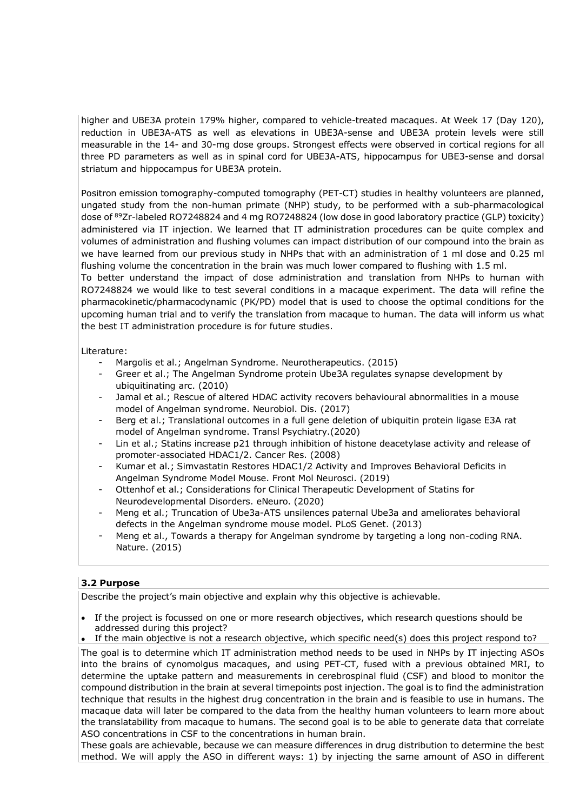higher and UBE3A protein 179% higher, compared to vehicle-treated macaques. At Week 17 (Day 120), reduction in UBE3A-ATS as well as elevations in UBE3A-sense and UBE3A protein levels were still measurable in the 14- and 30-mg dose groups. Strongest effects were observed in cortical regions for all three PD parameters as well as in spinal cord for UBE3A-ATS, hippocampus for UBE3-sense and dorsal striatum and hippocampus for UBE3A protein.

Positron emission tomography-computed tomography (PET-CT) studies in healthy volunteers are planned, ungated study from the non-human primate (NHP) study, to be performed with a sub-pharmacological dose of 89Zr-labeled RO7248824 and 4 mg RO7248824 (low dose in good laboratory practice (GLP) toxicity) administered via IT injection. We learned that IT administration procedures can be quite complex and volumes of administration and flushing volumes can impact distribution of our compound into the brain as we have learned from our previous study in NHPs that with an administration of 1 ml dose and 0.25 ml flushing volume the concentration in the brain was much lower compared to flushing with 1.5 ml.

To better understand the impact of dose administration and translation from NHPs to human with RO7248824 we would like to test several conditions in a macaque experiment. The data will refine the pharmacokinetic/pharmacodynamic (PK/PD) model that is used to choose the optimal conditions for the upcoming human trial and to verify the translation from macaque to human. The data will inform us what the best IT administration procedure is for future studies.

Literature:

- Margolis et al.; Angelman Syndrome. Neurotherapeutics. (2015)
- Greer et al.; The Angelman Syndrome protein Ube3A regulates synapse development by ubiquitinating arc. (2010)
- Jamal et al.; Rescue of altered HDAC activity recovers behavioural abnormalities in a mouse model of Angelman syndrome. Neurobiol. Dis. (2017)
- Berg et al.; Translational outcomes in a full gene deletion of ubiquitin protein ligase E3A rat model of Angelman syndrome. Transl Psychiatry.(2020)
- Lin et al.; Statins increase p21 through inhibition of histone deacetylase activity and release of promoter-associated HDAC1/2. Cancer Res. (2008)
- Kumar et al.; Simvastatin Restores HDAC1/2 Activity and Improves Behavioral Deficits in Angelman Syndrome Model Mouse. Front Mol Neurosci. (2019)
- Ottenhof et al.; Considerations for Clinical Therapeutic Development of Statins for Neurodevelopmental Disorders. eNeuro. (2020)
- Meng et al.; Truncation of Ube3a-ATS unsilences paternal Ube3a and ameliorates behavioral defects in the Angelman syndrome mouse model. PLoS Genet. (2013)
- Meng et al., Towards a therapy for Angelman syndrome by targeting a long non-coding RNA. Nature. (2015)

### **3.2 Purpose**

Describe the project's main objective and explain why this objective is achievable.

If the project is focussed on one or more research objectives, which research questions should be addressed during this project?

• If the main objective is not a research objective, which specific need(s) does this project respond to?

The goal is to determine which IT administration method needs to be used in NHPs by IT injecting ASOs into the brains of cynomolgus macaques, and using PET-CT, fused with a previous obtained MRI, to determine the uptake pattern and measurements in cerebrospinal fluid (CSF) and blood to monitor the compound distribution in the brain at several timepoints post injection. The goal is to find the administration technique that results in the highest drug concentration in the brain and is feasible to use in humans. The macaque data will later be compared to the data from the healthy human volunteers to learn more about the translatability from macaque to humans. The second goal is to be able to generate data that correlate ASO concentrations in CSF to the concentrations in human brain.

These goals are achievable, because we can measure differences in drug distribution to determine the best method. We will apply the ASO in different ways: 1) by injecting the same amount of ASO in different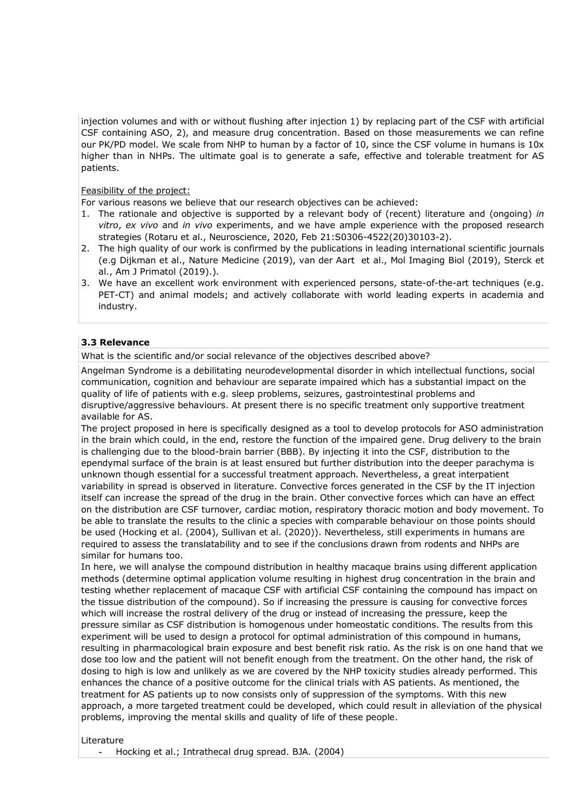injection volumes and with or without flushing after injection 1) by replacing part of the CSF with artificial CSF containing ASO, 2), and measure drug concentration. Based on those measurements we can refine our PK/PD model. We scale from NHP to human by a factor of 10, since the CSF volume in humans is 10x higher than in NHPs. The ultimate goal is to generate a safe, effective and tolerable treatment for AS patients.

### Feasibility of the project:

For various reasons we believe that our research objectives can be achieved:

- 1. The rationale and objective is supported by a relevant body of (recent) literature and (ongoing) *in vitro*, *ex vivo* and *in vivo* experiments, and we have ample experience with the proposed research strategies (Rotaru et al., Neuroscience, 2020, Feb 21:S0306-4522(20)30103-2).
- 2. The high quality of our work is confirmed by the publications in leading international scientific journals (e.g Dijkman et al., Nature Medicine (2019), van der Aart et al., Mol Imaging Biol (2019), Sterck et al., Am J Primatol (2019).).
- 3. We have an excellent work environment with experienced persons, state-of-the-art techniques (e.g. PET-CT) and animal models; and actively collaborate with world leading experts in academia and industry.

### **3.3 Relevance**

What is the scientific and/or social relevance of the objectives described above?

Angelman Syndrome is a debilitating neurodevelopmental disorder in which intellectual functions, social communication, cognition and behaviour are separate impaired which has a substantial impact on the quality of life of patients with e.g. sleep problems, seizures, gastrointestinal problems and disruptive/aggressive behaviours. At present there is no specific treatment only supportive treatment available for AS.

The project proposed in here is specifically designed as a tool to develop protocols for ASO administration in the brain which could, in the end, restore the function of the impaired gene. Drug delivery to the brain is challenging due to the blood-brain barrier (BBB). By injecting it into the CSF, distribution to the ependymal surface of the brain is at least ensured but further distribution into the deeper parachyma is unknown though essential for a successful treatment approach. Nevertheless, a great interpatient variability in spread is observed in literature. Convective forces generated in the CSF by the IT injection itself can increase the spread of the drug in the brain. Other convective forces which can have an effect on the distribution are CSF turnover, cardiac motion, respiratory thoracic motion and body movement. To be able to translate the results to the clinic a species with comparable behaviour on those points should be used (Hocking et al. (2004), Sullivan et al. (2020)). Nevertheless, still experiments in humans are required to assess the translatability and to see if the conclusions drawn from rodents and NHPs are similar for humans too.

In here, we will analyse the compound distribution in healthy macaque brains using different application methods (determine optimal application volume resulting in highest drug concentration in the brain and testing whether replacement of macaque CSF with artificial CSF containing the compound has impact on the tissue distribution of the compound). So if increasing the pressure is causing for convective forces which will increase the rostral delivery of the drug or instead of increasing the pressure, keep the pressure similar as CSF distribution is homogenous under homeostatic conditions. The results from this experiment will be used to design a protocol for optimal administration of this compound in humans, resulting in pharmacological brain exposure and best benefit risk ratio. As the risk is on one hand that we dose too low and the patient will not benefit enough from the treatment. On the other hand, the risk of dosing to high is low and unlikely as we are covered by the NHP toxicity studies already performed. This enhances the chance of a positive outcome for the clinical trials with AS patients. As mentioned, the treatment for AS patients up to now consists only of suppression of the symptoms. With this new approach, a more targeted treatment could be developed, which could result in alleviation of the physical problems, improving the mental skills and quality of life of these people.

#### Literature

Hocking et al.; Intrathecal drug spread. BJA. (2004)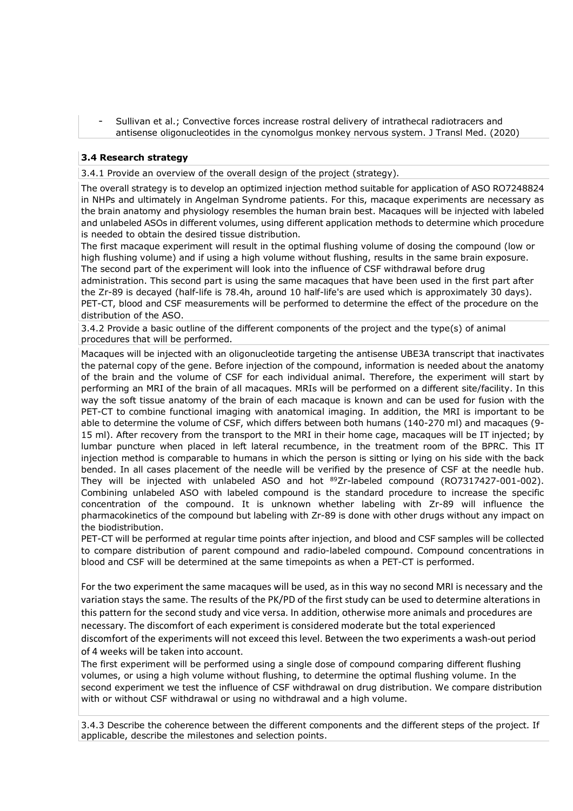Sullivan et al.; Convective forces increase rostral delivery of intrathecal radiotracers and antisense oligonucleotides in the cynomolgus monkey nervous system. J Transl Med. (2020)

### **3.4 Research strategy**

3.4.1 Provide an overview of the overall design of the project (strategy).

The overall strategy is to develop an optimized injection method suitable for application of ASO RO7248824 in NHPs and ultimately in Angelman Syndrome patients. For this, macaque experiments are necessary as the brain anatomy and physiology resembles the human brain best. Macaques will be injected with labeled and unlabeled ASOs in different volumes, using different application methods to determine which procedure is needed to obtain the desired tissue distribution.

The first macaque experiment will result in the optimal flushing volume of dosing the compound (low or high flushing volume) and if using a high volume without flushing, results in the same brain exposure. The second part of the experiment will look into the influence of CSF withdrawal before drug administration. This second part is using the same macaques that have been used in the first part after the Zr-89 is decayed (half-life is 78.4h, around 10 half-life's are used which is approximately 30 days). PET-CT, blood and CSF measurements will be performed to determine the effect of the procedure on the distribution of the ASO.

3.4.2 Provide a basic outline of the different components of the project and the type(s) of animal procedures that will be performed.

Macaques will be injected with an oligonucleotide targeting the antisense UBE3A transcript that inactivates the paternal copy of the gene. Before injection of the compound, information is needed about the anatomy of the brain and the volume of CSF for each individual animal. Therefore, the experiment will start by performing an MRI of the brain of all macaques. MRIs will be performed on a different site/facility. In this way the soft tissue anatomy of the brain of each macaque is known and can be used for fusion with the PET-CT to combine functional imaging with anatomical imaging. In addition, the MRI is important to be able to determine the volume of CSF, which differs between both humans (140-270 ml) and macaques (9- 15 ml). After recovery from the transport to the MRI in their home cage, macaques will be IT injected; by lumbar puncture when placed in left lateral recumbence, in the treatment room of the BPRC. This IT injection method is comparable to humans in which the person is sitting or lying on his side with the back bended. In all cases placement of the needle will be verified by the presence of CSF at the needle hub. They will be injected with unlabeled ASO and hot 89Zr-labeled compound (RO7317427-001-002). Combining unlabeled ASO with labeled compound is the standard procedure to increase the specific concentration of the compound. It is unknown whether labeling with Zr-89 will influence the pharmacokinetics of the compound but labeling with Zr-89 is done with other drugs without any impact on the biodistribution.

PET-CT will be performed at regular time points after injection, and blood and CSF samples will be collected to compare distribution of parent compound and radio-labeled compound. Compound concentrations in blood and CSF will be determined at the same timepoints as when a PET-CT is performed.

For the two experiment the same macaques will be used, as in this way no second MRI is necessary and the variation stays the same. The results of the PK/PD of the first study can be used to determine alterations in this pattern for the second study and vice versa. In addition, otherwise more animals and procedures are necessary. The discomfort of each experiment is considered moderate but the total experienced discomfort of the experiments will not exceed this level. Between the two experiments a wash-out period of 4 weeks will be taken into account.

The first experiment will be performed using a single dose of compound comparing different flushing volumes, or using a high volume without flushing, to determine the optimal flushing volume. In the second experiment we test the influence of CSF withdrawal on drug distribution. We compare distribution with or without CSF withdrawal or using no withdrawal and a high volume.

3.4.3 Describe the coherence between the different components and the different steps of the project. If applicable, describe the milestones and selection points.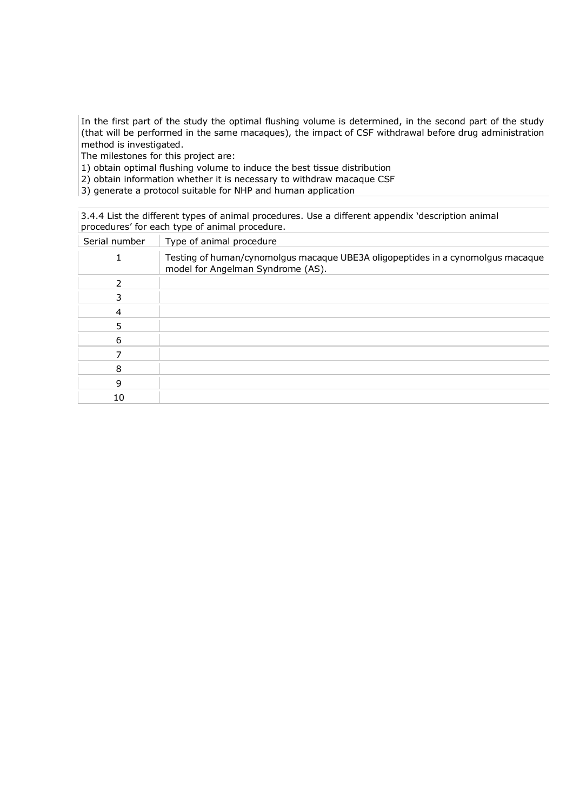In the first part of the study the optimal flushing volume is determined, in the second part of the study (that will be performed in the same macaques), the impact of CSF withdrawal before drug administration method is investigated.

The milestones for this project are:

1) obtain optimal flushing volume to induce the best tissue distribution

2) obtain information whether it is necessary to withdraw macaque CSF

3) generate a protocol suitable for NHP and human application

3.4.4 List the different types of animal procedures. Use a different appendix 'description animal procedures' for each type of animal procedure.

| Serial number | Type of animal procedure                                                                                             |
|---------------|----------------------------------------------------------------------------------------------------------------------|
|               | Testing of human/cynomolgus macaque UBE3A oligopeptides in a cynomolgus macaque<br>model for Angelman Syndrome (AS). |
| 2             |                                                                                                                      |
| 3             |                                                                                                                      |
| 4             |                                                                                                                      |
| 5             |                                                                                                                      |
| 6             |                                                                                                                      |
|               |                                                                                                                      |
| 8             |                                                                                                                      |
| 9             |                                                                                                                      |
| 10            |                                                                                                                      |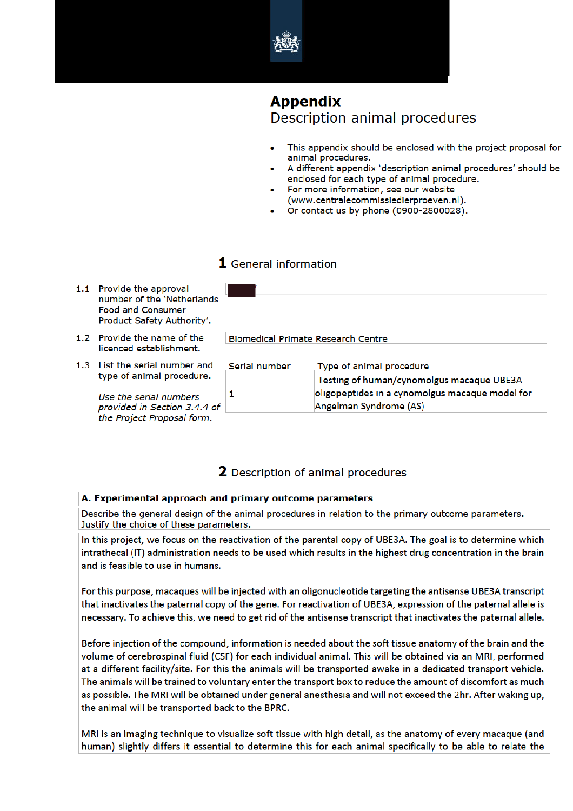

# **Appendix**

Description animal procedures

- This appendix should be enclosed with the project proposal for animal procedures.
- A different appendix 'description animal procedures' should be enclosed for each type of animal procedure.
- For more information, see our website (www.centralecommissiedierproeven.nl).
- Or contact us by phone (0900-2800028).

### 1 General information

- 1.1 Provide the approval number of the 'Netherlands **Food and Consumer** Product Safety Authority'.
- 1.2 Provide the name of the licenced establishment.
- 1.3 List the serial number and type of animal procedure.

Use the serial numbers provided in Section 3.4.4 d the Project Proposal form.

|    | <b>Biomedical Primate Research Centre</b> |                                                                                                                          |
|----|-------------------------------------------|--------------------------------------------------------------------------------------------------------------------------|
|    | Serial number                             | Type of animal procedure<br>Testing of human/cynomolgus macaque UBE3A<br>oligopeptides in a cynomolgus macaque model for |
| эf |                                           | Angelman Syndrome (AS)                                                                                                   |

### 2 Description of animal procedures

### A. Experimental approach and primary outcome parameters

Describe the general design of the animal procedures in relation to the primary outcome parameters. Justify the choice of these parameters.

In this project, we focus on the reactivation of the parental copy of UBE3A. The goal is to determine which intrathecal (IT) administration needs to be used which results in the highest drug concentration in the brain and is feasible to use in humans.

For this purpose, macaques will be injected with an oligonucleotide targeting the antisense UBE3A transcript that inactivates the paternal copy of the gene. For reactivation of UBE3A, expression of the paternal allele is necessary. To achieve this, we need to get rid of the antisense transcript that inactivates the paternal allele.

Before injection of the compound, information is needed about the soft tissue anatomy of the brain and the volume of cerebrospinal fluid (CSF) for each individual animal. This will be obtained via an MRI, performed at a different facility/site. For this the animals will be transported awake in a dedicated transport vehicle. The animals will be trained to voluntary enter the transport box to reduce the amount of discomfort as much as possible. The MRI will be obtained under general anesthesia and will not exceed the 2hr. After waking up, the animal will be transported back to the BPRC.

MRI is an imaging technique to visualize soft tissue with high detail, as the anatomy of every macaque (and human) slightly differs it essential to determine this for each animal specifically to be able to relate the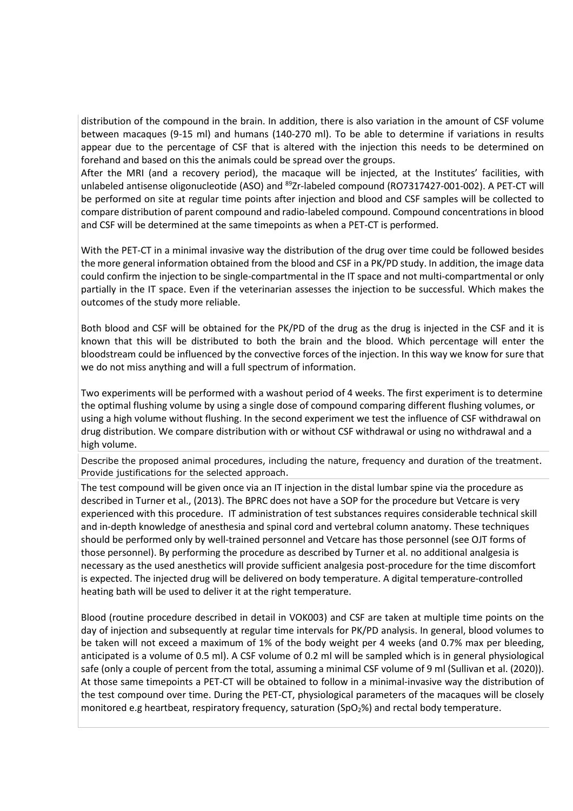distribution of the compound in the brain. In addition, there is also variation in the amount of CSF volume between macaques (9-15 ml) and humans (140-270 ml). To be able to determine if variations in results appear due to the percentage of CSF that is altered with the injection this needs to be determined on forehand and based on this the animals could be spread over the groups.

After the MRI (and a recovery period), the macaque will be injected, at the Institutes' facilities, with unlabeled antisense oligonucleotide (ASO) and <sup>89</sup>Zr-labeled compound (RO7317427-001-002). A PET-CT will be performed on site at regular time points after injection and blood and CSF samples will be collected to compare distribution of parent compound and radio-labeled compound. Compound concentrations in blood and CSF will be determined at the same timepoints as when a PET-CT is performed.

With the PET-CT in a minimal invasive way the distribution of the drug over time could be followed besides the more general information obtained from the blood and CSF in a PK/PD study. In addition, the image data could confirm the injection to be single-compartmental in the IT space and not multi-compartmental or only partially in the IT space. Even if the veterinarian assesses the injection to be successful. Which makes the outcomes of the study more reliable.

Both blood and CSF will be obtained for the PK/PD of the drug as the drug is injected in the CSF and it is known that this will be distributed to both the brain and the blood. Which percentage will enter the bloodstream could be influenced by the convective forces of the injection. In this way we know for sure that we do not miss anything and will a full spectrum of information.

Two experiments will be performed with a washout period of 4 weeks. The first experiment is to determine the optimal flushing volume by using a single dose of compound comparing different flushing volumes, or using a high volume without flushing. In the second experiment we test the influence of CSF withdrawal on drug distribution. We compare distribution with or without CSF withdrawal or using no withdrawal and a high volume.

Describe the proposed animal procedures, including the nature, frequency and duration of the treatment. Provide justifications for the selected approach.

The test compound will be given once via an IT injection in the distal lumbar spine via the procedure as described in Turner et al., (2013). The BPRC does not have a SOP for the procedure but Vetcare is very experienced with this procedure. IT administration of test substances requires considerable technical skill and in-depth knowledge of anesthesia and spinal cord and vertebral column anatomy. These techniques should be performed only by well-trained personnel and Vetcare has those personnel (see OJT forms of those personnel). By performing the procedure as described by Turner et al. no additional analgesia is necessary as the used anesthetics will provide sufficient analgesia post-procedure for the time discomfort is expected. The injected drug will be delivered on body temperature. A digital temperature-controlled heating bath will be used to deliver it at the right temperature.

Blood (routine procedure described in detail in VOK003) and CSF are taken at multiple time points on the day of injection and subsequently at regular time intervals for PK/PD analysis. In general, blood volumes to be taken will not exceed a maximum of 1% of the body weight per 4 weeks (and 0.7% max per bleeding, anticipated is a volume of 0.5 ml). A CSF volume of 0.2 ml will be sampled which is in general physiological safe (only a couple of percent from the total, assuming a minimal CSF volume of 9 ml (Sullivan et al. (2020)). At those same timepoints a PET-CT will be obtained to follow in a minimal-invasive way the distribution of the test compound over time. During the PET-CT, physiological parameters of the macaques will be closely monitored e.g heartbeat, respiratory frequency, saturation (SpO<sub>2</sub>%) and rectal body temperature.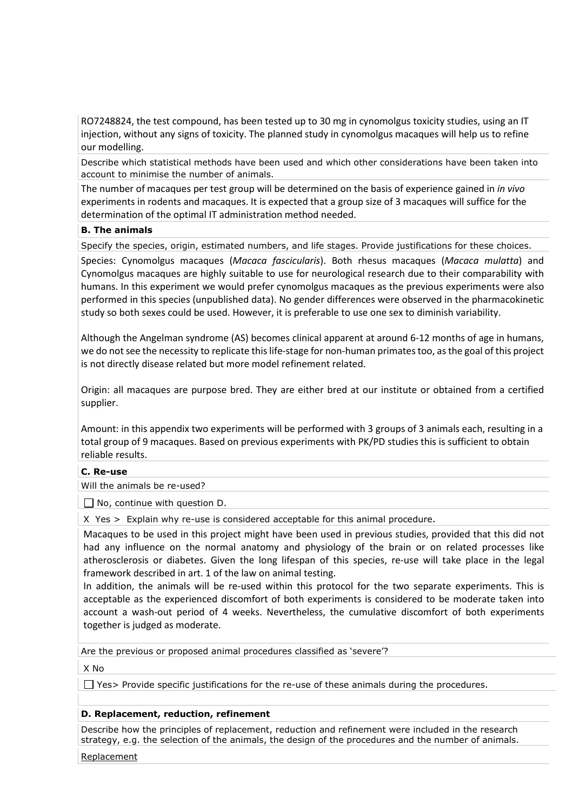RO7248824, the test compound, has been tested up to 30 mg in cynomolgus toxicity studies, using an IT injection, without any signs of toxicity. The planned study in cynomolgus macaques will help us to refine our modelling.

Describe which statistical methods have been used and which other considerations have been taken into account to minimise the number of animals.

The number of macaques per test group will be determined on the basis of experience gained in *in vivo* experiments in rodents and macaques. It is expected that a group size of 3 macaques will suffice for the determination of the optimal IT administration method needed.

### **B. The animals**

Specify the species, origin, estimated numbers, and life stages. Provide justifications for these choices.

Species: Cynomolgus macaques (*Macaca fascicularis*). Both rhesus macaques (*Macaca mulatta*) and Cynomolgus macaques are highly suitable to use for neurological research due to their comparability with humans. In this experiment we would prefer cynomolgus macaques as the previous experiments were also performed in this species (unpublished data). No gender differences were observed in the pharmacokinetic study so both sexes could be used. However, it is preferable to use one sex to diminish variability.

Although the Angelman syndrome (AS) becomes clinical apparent at around 6-12 months of age in humans, we do not see the necessity to replicate this life-stage for non-human primates too, as the goal of this project is not directly disease related but more model refinement related.

Origin: all macaques are purpose bred. They are either bred at our institute or obtained from a certified supplier.

Amount: in this appendix two experiments will be performed with 3 groups of 3 animals each, resulting in a total group of 9 macaques. Based on previous experiments with PK/PD studies this is sufficient to obtain reliable results.

### **C. Re-use**

Will the animals be re-used?

□ No, continue with question D.

X Yes > Explain why re-use is considered acceptable for this animal procedure.

Macaques to be used in this project might have been used in previous studies, provided that this did not had any influence on the normal anatomy and physiology of the brain or on related processes like atherosclerosis or diabetes. Given the long lifespan of this species, re-use will take place in the legal framework described in art. 1 of the law on animal testing.

In addition, the animals will be re-used within this protocol for the two separate experiments. This is acceptable as the experienced discomfort of both experiments is considered to be moderate taken into account a wash-out period of 4 weeks. Nevertheless, the cumulative discomfort of both experiments together is judged as moderate.

Are the previous or proposed animal procedures classified as 'severe'?

X No

Yes> Provide specific justifications for the re-use of these animals during the procedures.

### **D. Replacement, reduction, refinement**

Describe how the principles of replacement, reduction and refinement were included in the research strategy, e.g. the selection of the animals, the design of the procedures and the number of animals.

Replacement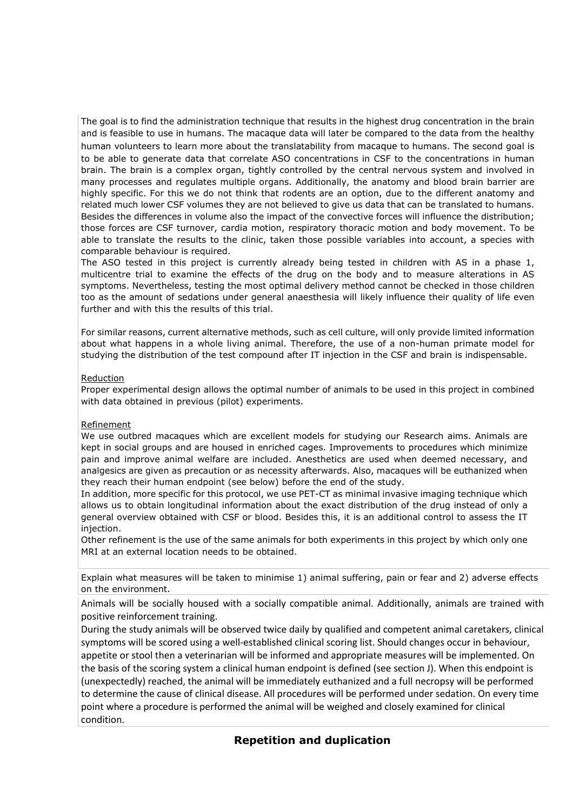The goal is to find the administration technique that results in the highest drug concentration in the brain and is feasible to use in humans. The macaque data will later be compared to the data from the healthy human volunteers to learn more about the translatability from macaque to humans. The second goal is to be able to generate data that correlate ASO concentrations in CSF to the concentrations in human brain. The brain is a complex organ, tightly controlled by the central nervous system and involved in many processes and regulates multiple organs. Additionally, the anatomy and blood brain barrier are highly specific. For this we do not think that rodents are an option, due to the different anatomy and related much lower CSF volumes they are not believed to give us data that can be translated to humans. Besides the differences in volume also the impact of the convective forces will influence the distribution; those forces are CSF turnover, cardia motion, respiratory thoracic motion and body movement. To be able to translate the results to the clinic, taken those possible variables into account, a species with comparable behaviour is required.

The ASO tested in this project is currently already being tested in children with AS in a phase 1, multicentre trial to examine the effects of the drug on the body and to measure alterations in AS symptoms. Nevertheless, testing the most optimal delivery method cannot be checked in those children too as the amount of sedations under general anaesthesia will likely influence their quality of life even further and with this the results of this trial.

For similar reasons, current alternative methods, such as cell culture, will only provide limited information about what happens in a whole living animal. Therefore, the use of a non-human primate model for studying the distribution of the test compound after IT injection in the CSF and brain is indispensable.

#### Reduction

Proper experimental design allows the optimal number of animals to be used in this project in combined with data obtained in previous (pilot) experiments.

#### Refinement

We use outbred macaques which are excellent models for studying our Research aims. Animals are kept in social groups and are housed in enriched cages. Improvements to procedures which minimize pain and improve animal welfare are included. Anesthetics are used when deemed necessary, and analgesics are given as precaution or as necessity afterwards. Also, macaques will be euthanized when they reach their human endpoint (see below) before the end of the study.

In addition, more specific for this protocol, we use PET-CT as minimal invasive imaging technique which allows us to obtain longitudinal information about the exact distribution of the drug instead of only a general overview obtained with CSF or blood. Besides this, it is an additional control to assess the IT injection.

Other refinement is the use of the same animals for both experiments in this project by which only one MRI at an external location needs to be obtained.

Explain what measures will be taken to minimise 1) animal suffering, pain or fear and 2) adverse effects on the environment.

Animals will be socially housed with a socially compatible animal. Additionally, animals are trained with positive reinforcement training.

During the study animals will be observed twice daily by qualified and competent animal caretakers, clinical symptoms will be scored using a well-established clinical scoring list. Should changes occur in behaviour, appetite or stool then a veterinarian will be informed and appropriate measures will be implemented. On the basis of the scoring system a clinical human endpoint is defined (see section J). When this endpoint is (unexpectedly) reached, the animal will be immediately euthanized and a full necropsy will be performed to determine the cause of clinical disease. All procedures will be performed under sedation. On every time point where a procedure is performed the animal will be weighed and closely examined for clinical condition.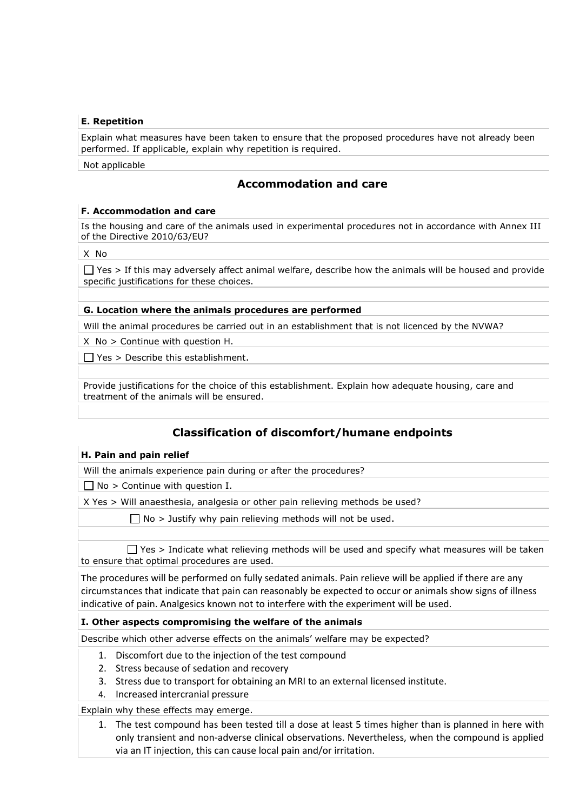### **E. Repetition**

Explain what measures have been taken to ensure that the proposed procedures have not already been performed. If applicable, explain why repetition is required.

Not applicable

### **Accommodation and care**

### **F. Accommodation and care**

Is the housing and care of the animals used in experimental procedures not in accordance with Annex III of the Directive 2010/63/EU?

X No

 $\Box$  Yes > If this may adversely affect animal welfare, describe how the animals will be housed and provide specific justifications for these choices.

### **G. Location where the animals procedures are performed**

Will the animal procedures be carried out in an establishment that is not licenced by the NVWA?

X No > Continue with question H.

 $\Box$  Yes > Describe this establishment.

Provide justifications for the choice of this establishment. Explain how adequate housing, care and treatment of the animals will be ensured.

### **Classification of discomfort/humane endpoints**

### **H. Pain and pain relief**

Will the animals experience pain during or after the procedures?

 $\Box$  No > Continue with question I.

X Yes > Will anaesthesia, analgesia or other pain relieving methods be used?

 $\Box$  No > Justify why pain relieving methods will not be used.

 $\Box$  Yes > Indicate what relieving methods will be used and specify what measures will be taken to ensure that optimal procedures are used.

The procedures will be performed on fully sedated animals. Pain relieve will be applied if there are any circumstances that indicate that pain can reasonably be expected to occur or animals show signs of illness indicative of pain. Analgesics known not to interfere with the experiment will be used.

#### **I. Other aspects compromising the welfare of the animals**

Describe which other adverse effects on the animals' welfare may be expected?

- 1. Discomfort due to the injection of the test compound
- 2. Stress because of sedation and recovery
- 3. Stress due to transport for obtaining an MRI to an external licensed institute.
- 4. Increased intercranial pressure

Explain why these effects may emerge.

1. The test compound has been tested till a dose at least 5 times higher than is planned in here with only transient and non-adverse clinical observations. Nevertheless, when the compound is applied via an IT injection, this can cause local pain and/or irritation.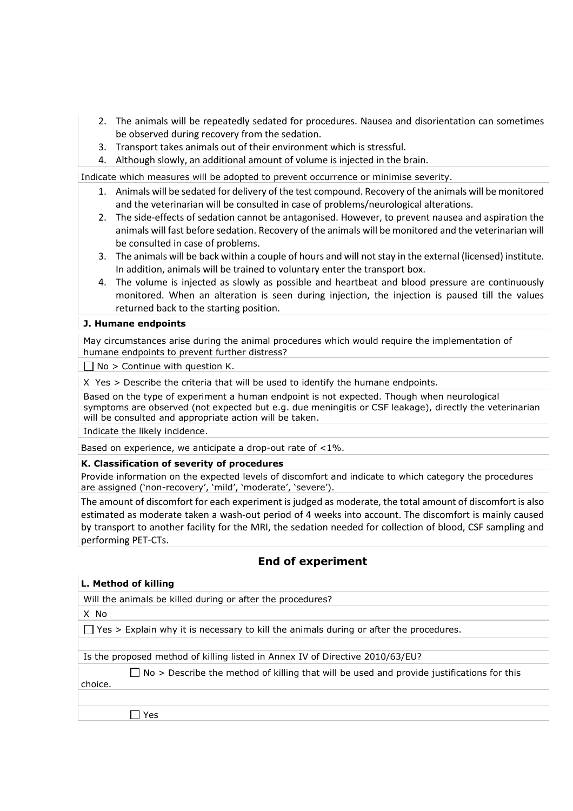- 2. The animals will be repeatedly sedated for procedures. Nausea and disorientation can sometimes be observed during recovery from the sedation.
- 3. Transport takes animals out of their environment which is stressful.
- 4. Although slowly, an additional amount of volume is injected in the brain.

Indicate which measures will be adopted to prevent occurrence or minimise severity.

- 1. Animals will be sedated for delivery of the test compound. Recovery of the animals will be monitored and the veterinarian will be consulted in case of problems/neurological alterations.
- 2. The side-effects of sedation cannot be antagonised. However, to prevent nausea and aspiration the animals will fast before sedation. Recovery of the animals will be monitored and the veterinarian will be consulted in case of problems.
- 3. The animals will be back within a couple of hours and will not stay in the external (licensed) institute. In addition, animals will be trained to voluntary enter the transport box.
- 4. The volume is injected as slowly as possible and heartbeat and blood pressure are continuously monitored. When an alteration is seen during injection, the injection is paused till the values returned back to the starting position.

### **J. Humane endpoints**

• May circumstances arise during the animal procedures which would require the implementation of humane endpoints to prevent further distress?

 $\Box$  No > Continue with question K.

X Yes > Describe the criteria that will be used to identify the humane endpoints.

Based on the type of experiment a human endpoint is not expected. Though when neurological symptoms are observed (not expected but e.g. due meningitis or CSF leakage), directly the veterinarian will be consulted and appropriate action will be taken.

Indicate the likely incidence.

Based on experience, we anticipate a drop-out rate of <1%.

#### **K. Classification of severity of procedures**

Provide information on the expected levels of discomfort and indicate to which category the procedures are assigned ('non-recovery', 'mild', 'moderate', 'severe').

The amount of discomfort for each experiment is judged as moderate, the total amount of discomfort is also estimated as moderate taken a wash-out period of 4 weeks into account. The discomfort is mainly caused by transport to another facility for the MRI, the sedation needed for collection of blood, CSF sampling and performing PET-CTs.

### **End of experiment**

#### **L. Method of killing**

Will the animals be killed during or after the procedures?

X No

 $\Box$  Yes > Explain why it is necessary to kill the animals during or after the procedures.

Is the proposed method of killing listed in Annex IV of Directive 2010/63/EU?

 $\Box$  No > Describe the method of killing that will be used and provide justifications for this

choice.

 $\Box$  Yes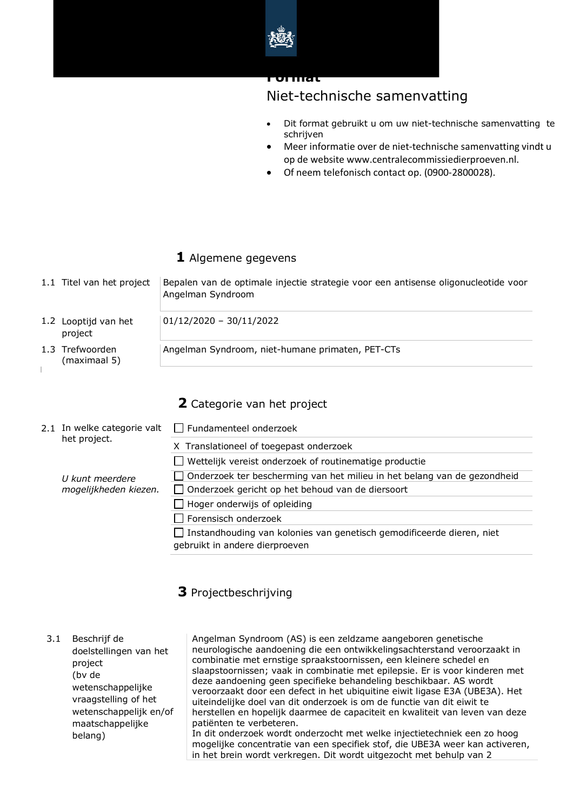

### **Format**

# Niet-technische samenvatting

- Dit format gebruikt u om uw niet-technische samenvatting te schrijven
- Meer informatie over de niet-technische samenvatting vindt u op de website www.centralecommissiedierproeven.nl.
- Of neem telefonisch contact op. (0900-2800028).

### **1** Algemene gegevens

| 1.1 Titel van het project       | Bepalen van de optimale injectie strategie voor een antisense oligonucleotide voor<br>Angelman Syndroom |
|---------------------------------|---------------------------------------------------------------------------------------------------------|
| 1.2 Looptijd van het<br>project | $01/12/2020 - 30/11/2022$                                                                               |
| 1.3 Trefwoorden<br>(maximaal 5) | Angelman Syndroom, niet-humane primaten, PET-CTs                                                        |

### **2** Categorie van het project

|  | 2.1 In welke categorie valt<br>het project. | $\Box$ Fundamenteel onderzoek                                                                           |
|--|---------------------------------------------|---------------------------------------------------------------------------------------------------------|
|  |                                             | X Translationeel of toegepast onderzoek                                                                 |
|  |                                             | Wettelijk vereist onderzoek of routinematige productie                                                  |
|  | U kunt meerdere                             | Onderzoek ter bescherming van het milieu in het belang van de gezondheid                                |
|  | mogelijkheden kiezen.                       | Onderzoek gericht op het behoud van de diersoort                                                        |
|  |                                             | Hoger onderwijs of opleiding                                                                            |
|  |                                             | Forensisch onderzoek                                                                                    |
|  |                                             | Instandhouding van kolonies van genetisch gemodificeerde dieren, niet<br>gebruikt in andere dierproeven |

### **3** Projectbeschrijving

### 3.1 Beschrijf de doelstellingen van het project (bv de wetenschappelijke vraagstelling of het wetenschappelijk en/of maatschappelijke belang)

Angelman Syndroom (AS) is een zeldzame aangeboren genetische neurologische aandoening die een ontwikkelingsachterstand veroorzaakt in combinatie met ernstige spraakstoornissen, een kleinere schedel en slaapstoornissen; vaak in combinatie met epilepsie. Er is voor kinderen met deze aandoening geen specifieke behandeling beschikbaar. AS wordt veroorzaakt door een defect in het ubiquitine eiwit ligase E3A (UBE3A). Het uiteindelijke doel van dit onderzoek is om de functie van dit eiwit te herstellen en hopelijk daarmee de capaciteit en kwaliteit van leven van deze patiënten te verbeteren. In dit onderzoek wordt onderzocht met welke injectietechniek een zo hoog

mogelijke concentratie van een specifiek stof, die UBE3A weer kan activeren, in het brein wordt verkregen. Dit wordt uitgezocht met behulp van 2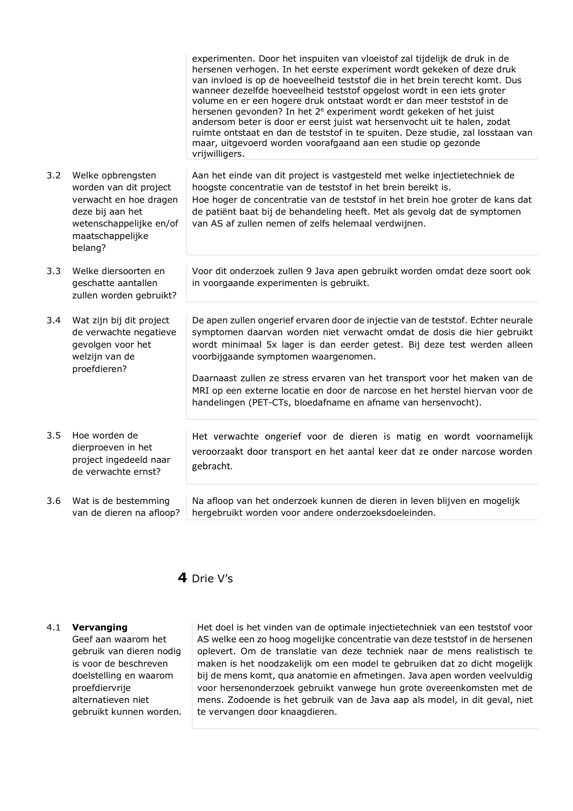|     |                                                                                                                                                     | experimenten. Door het inspuiten van vloeistof zal tijdelijk de druk in de<br>hersenen verhogen. In het eerste experiment wordt gekeken of deze druk<br>van invloed is op de hoeveelheid teststof die in het brein terecht komt. Dus<br>wanneer dezelfde hoeveelheid teststof opgelost wordt in een iets groter<br>volume en er een hogere druk ontstaat wordt er dan meer teststof in de<br>hersenen gevonden? In het 2 <sup>e</sup> experiment wordt gekeken of het juist<br>andersom beter is door er eerst juist wat hersenvocht uit te halen, zodat<br>ruimte ontstaat en dan de teststof in te spuiten. Deze studie, zal losstaan van<br>maar, uitgevoerd worden voorafgaand aan een studie op gezonde<br>vrijwilligers. |
|-----|-----------------------------------------------------------------------------------------------------------------------------------------------------|--------------------------------------------------------------------------------------------------------------------------------------------------------------------------------------------------------------------------------------------------------------------------------------------------------------------------------------------------------------------------------------------------------------------------------------------------------------------------------------------------------------------------------------------------------------------------------------------------------------------------------------------------------------------------------------------------------------------------------|
| 3.2 | Welke opbrengsten<br>worden van dit project<br>verwacht en hoe dragen<br>deze bij aan het<br>wetenschappelijke en/of<br>maatschappelijke<br>belang? | Aan het einde van dit project is vastgesteld met welke injectietechniek de<br>hoogste concentratie van de teststof in het brein bereikt is.<br>Hoe hoger de concentratie van de teststof in het brein hoe groter de kans dat<br>de patiënt baat bij de behandeling heeft. Met als gevolg dat de symptomen<br>van AS af zullen nemen of zelfs helemaal verdwijnen.                                                                                                                                                                                                                                                                                                                                                              |
| 3.3 | Welke diersoorten en<br>geschatte aantallen<br>zullen worden gebruikt?                                                                              | Voor dit onderzoek zullen 9 Java apen gebruikt worden omdat deze soort ook<br>in voorgaande experimenten is gebruikt.                                                                                                                                                                                                                                                                                                                                                                                                                                                                                                                                                                                                          |
| 3.4 | Wat zijn bij dit project<br>de verwachte negatieve<br>gevolgen voor het<br>welzijn van de<br>proefdieren?                                           | De apen zullen ongerief ervaren door de injectie van de teststof. Echter neurale<br>symptomen daarvan worden niet verwacht omdat de dosis die hier gebruikt<br>wordt minimaal 5x lager is dan eerder getest. Bij deze test werden alleen<br>voorbijgaande symptomen waargenomen.<br>Daarnaast zullen ze stress ervaren van het transport voor het maken van de<br>MRI op een externe locatie en door de narcose en het herstel hiervan voor de                                                                                                                                                                                                                                                                                 |
|     |                                                                                                                                                     | handelingen (PET-CTs, bloedafname en afname van hersenvocht).                                                                                                                                                                                                                                                                                                                                                                                                                                                                                                                                                                                                                                                                  |
| 3.5 | Hoe worden de<br>dierproeven in het<br>project ingedeeld naar<br>de verwachte ernst?                                                                | Het verwachte ongerief voor de dieren is matig en wordt voornamelijk<br>veroorzaakt door transport en het aantal keer dat ze onder narcose worden<br>gebracht.                                                                                                                                                                                                                                                                                                                                                                                                                                                                                                                                                                 |
| 3.6 | Wat is de bestemming<br>van de dieren na afloop?                                                                                                    | Na afloop van het onderzoek kunnen de dieren in leven blijven en mogelijk<br>hergebruikt worden voor andere onderzoeksdoeleinden.                                                                                                                                                                                                                                                                                                                                                                                                                                                                                                                                                                                              |

### **4** Drie V's

#### 4.1 **Vervanging**

Geef aan waarom het gebruik van dieren nodig is voor de beschreven doelstelling en waarom proefdiervrije alternatieven niet gebruikt kunnen worden. Het doel is het vinden van de optimale injectietechniek van een teststof voor AS welke een zo hoog mogelijke concentratie van deze teststof in de hersenen oplevert. Om de translatie van deze techniek naar de mens realistisch te maken is het noodzakelijk om een model te gebruiken dat zo dicht mogelijk bij de mens komt, qua anatomie en afmetingen. Java apen worden veelvuldig voor hersenonderzoek gebruikt vanwege hun grote overeenkomsten met de mens. Zodoende is het gebruik van de Java aap als model, in dit geval, niet te vervangen door knaagdieren.